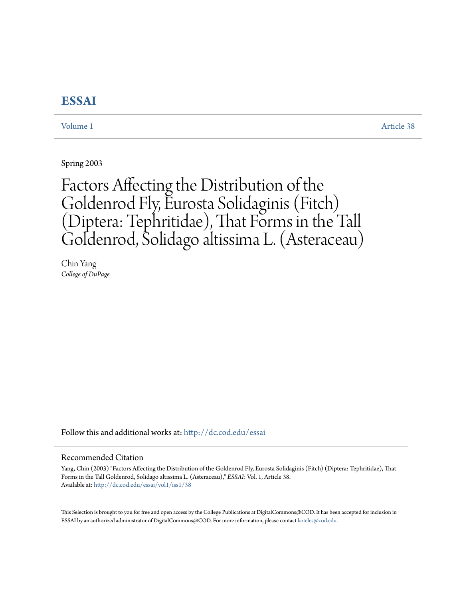# **[ESSAI](http://dc.cod.edu/essai?utm_source=dc.cod.edu%2Fessai%2Fvol1%2Fiss1%2F38&utm_medium=PDF&utm_campaign=PDFCoverPages)**

[Volume 1](http://dc.cod.edu/essai/vol1?utm_source=dc.cod.edu%2Fessai%2Fvol1%2Fiss1%2F38&utm_medium=PDF&utm_campaign=PDFCoverPages) [Article 38](http://dc.cod.edu/essai/vol1/iss1/38?utm_source=dc.cod.edu%2Fessai%2Fvol1%2Fiss1%2F38&utm_medium=PDF&utm_campaign=PDFCoverPages)

Spring 2003

# Factors Affecting the Distribution of the Goldenrod Fly, Eurosta Solidaginis (Fitch) (Diptera: Tephritidae), That Forms in the Tall Goldenrod, Solidago altissima L. (Asteraceau)

Chin Yang *College of DuPage*

Follow this and additional works at: [http://dc.cod.edu/essai](http://dc.cod.edu/essai?utm_source=dc.cod.edu%2Fessai%2Fvol1%2Fiss1%2F38&utm_medium=PDF&utm_campaign=PDFCoverPages)

## Recommended Citation

Yang, Chin (2003) "Factors Affecting the Distribution of the Goldenrod Fly, Eurosta Solidaginis (Fitch) (Diptera: Tephritidae), That Forms in the Tall Goldenrod, Solidago altissima L. (Asteraceau)," *ESSAI*: Vol. 1, Article 38. Available at: [http://dc.cod.edu/essai/vol1/iss1/38](http://dc.cod.edu/essai/vol1/iss1/38?utm_source=dc.cod.edu%2Fessai%2Fvol1%2Fiss1%2F38&utm_medium=PDF&utm_campaign=PDFCoverPages)

This Selection is brought to you for free and open access by the College Publications at DigitalCommons@COD. It has been accepted for inclusion in ESSAI by an authorized administrator of DigitalCommons@COD. For more information, please contact [koteles@cod.edu](mailto:koteles@cod.edu).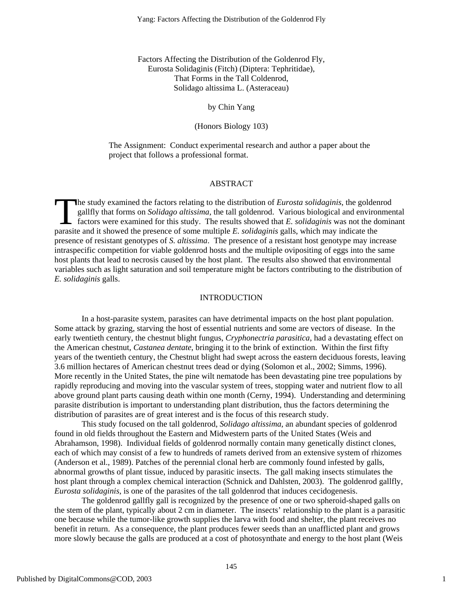Factors Affecting the Distribution of the Goldenrod Fly, Eurosta Solidaginis (Fitch) (Diptera: Tephritidae), That Forms in the Tall Coldenrod, Solidago altissima L. (Asteraceau)

# by Chin Yang

(Honors Biology 103)

The Assignment: Conduct experimental research and author a paper about the project that follows a professional format.

## ABSTRACT

he study examined the factors relating to the distribution of *Eurosta solidaginis*, the goldenrod gallfly that forms on *Solidago altissima*, the tall goldenrod. Various biological and environmental factors were examined for this study. The results showed that *E. solidaginis* was not the dominant The study examined the factors relating to the distribution of *Eurosta solidaginis*, the golden gallfly that forms on *Solidago altissima*, the tall goldenrod. Various biological and enviror factors were examined for this presence of resistant genotypes of *S. altissima*. The presence of a resistant host genotype may increase intraspecific competition for viable goldenrod hosts and the multiple ovipositing of eggs into the same host plants that lead to necrosis caused by the host plant. The results also showed that environmental variables such as light saturation and soil temperature might be factors contributing to the distribution of *E. solidaginis* galls.

#### **INTRODUCTION**

In a host-parasite system, parasites can have detrimental impacts on the host plant population. Some attack by grazing, starving the host of essential nutrients and some are vectors of disease. In the early twentieth century, the chestnut blight fungus, *Cryphonectria parasitica*, had a devastating effect on the American chestnut, *Castanea dentate*, bringing it to the brink of extinction. Within the first fifty years of the twentieth century, the Chestnut blight had swept across the eastern deciduous forests, leaving 3.6 million hectares of American chestnut trees dead or dying (Solomon et al., 2002; Simms, 1996). More recently in the United States, the pine wilt nematode has been devastating pine tree populations by rapidly reproducing and moving into the vascular system of trees, stopping water and nutrient flow to all above ground plant parts causing death within one month (Cerny, 1994). Understanding and determining parasite distribution is important to understanding plant distribution, thus the factors determining the distribution of parasites are of great interest and is the focus of this research study.

This study focused on the tall goldenrod, *Solidago altissima*, an abundant species of goldenrod found in old fields throughout the Eastern and Midwestern parts of the United States (Weis and Abrahamson, 1998). Individual fields of goldenrod normally contain many genetically distinct clones, each of which may consist of a few to hundreds of ramets derived from an extensive system of rhizomes (Anderson et al., 1989). Patches of the perennial clonal herb are commonly found infested by galls, abnormal growths of plant tissue, induced by parasitic insects. The gall making insects stimulates the host plant through a complex chemical interaction (Schnick and Dahlsten, 2003). The goldenrod gallfly, *Eurosta solidaginis*, is one of the parasites of the tall goldenrod that induces cecidogenesis.

The goldenrod gallfly gall is recognized by the presence of one or two spheroid-shaped galls on the stem of the plant, typically about 2 cm in diameter. The insects' relationship to the plant is a parasitic one because while the tumor-like growth supplies the larva with food and shelter, the plant receives no benefit in return. As a consequence, the plant produces fewer seeds than an unafflicted plant and grows more slowly because the galls are produced at a cost of photosynthate and energy to the host plant (Weis

1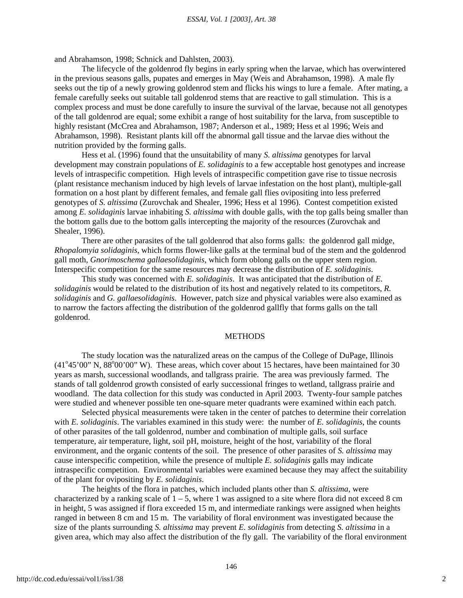and Abrahamson, 1998; Schnick and Dahlsten, 2003).

The lifecycle of the goldenrod fly begins in early spring when the larvae, which has overwintered in the previous seasons galls, pupates and emerges in May (Weis and Abrahamson, 1998). A male fly seeks out the tip of a newly growing goldenrod stem and flicks his wings to lure a female. After mating, a female carefully seeks out suitable tall goldenrod stems that are reactive to gall stimulation. This is a complex process and must be done carefully to insure the survival of the larvae, because not all genotypes of the tall goldenrod are equal; some exhibit a range of host suitability for the larva, from susceptible to highly resistant (McCrea and Abrahamson, 1987; Anderson et al., 1989; Hess et al 1996; Weis and Abrahamson, 1998). Resistant plants kill off the abnormal gall tissue and the larvae dies without the nutrition provided by the forming galls.

Hess et al. (1996) found that the unsuitability of many *S. altissima* genotypes for larval development may constrain populations of *E. solidaginis* to a few acceptable host genotypes and increase levels of intraspecific competition. High levels of intraspecific competition gave rise to tissue necrosis (plant resistance mechanism induced by high levels of larvae infestation on the host plant), multiple-gall formation on a host plant by different females, and female gall flies ovipositing into less preferred genotypes of *S. altissima* (Zurovchak and Shealer, 1996; Hess et al 1996). Contest competition existed among *E. solidaginis* larvae inhabiting *S. altissima* with double galls, with the top galls being smaller than the bottom galls due to the bottom galls intercepting the majority of the resources (Zurovchak and Shealer, 1996).

There are other parasites of the tall goldenrod that also forms galls: the goldenrod gall midge, *Rhopalomyia solidaginis*, which forms flower-like galls at the terminal bud of the stem and the goldenrod gall moth, *Gnorimoschema gallaesolidaginis*, which form oblong galls on the upper stem region. Interspecific competition for the same resources may decrease the distribution of *E. solidaginis*.

This study was concerned with *E. solidaginis*. It was anticipated that the distribution of *E. solidaginis* would be related to the distribution of its host and negatively related to its competitors, *R. solidaginis* and *G. gallaesolidaginis*. However, patch size and physical variables were also examined as to narrow the factors affecting the distribution of the goldenrod gallfly that forms galls on the tall goldenrod.

# METHODS

The study location was the naturalized areas on the campus of the College of DuPage, Illinois  $(41°45'00"$  N,  $88°00'00"$  W). These areas, which cover about 15 hectares, have been maintained for 30 years as marsh, successional woodlands, and tallgrass prairie. The area was previously farmed. The stands of tall goldenrod growth consisted of early successional fringes to wetland, tallgrass prairie and woodland. The data collection for this study was conducted in April 2003. Twenty-four sample patches were studied and whenever possible ten one-square meter quadrants were examined within each patch.

Selected physical measurements were taken in the center of patches to determine their correlation with *E. solidaginis*. The variables examined in this study were: the number of *E. solidaginis*, the counts of other parasites of the tall goldenrod, number and combination of multiple galls, soil surface temperature, air temperature, light, soil pH, moisture, height of the host, variability of the floral environment, and the organic contents of the soil. The presence of other parasites of *S. altissima* may cause interspecific competition, while the presence of multiple *E. solidaginis* galls may indicate intraspecific competition. Environmental variables were examined because they may affect the suitability of the plant for ovipositing by *E. solidaginis*.

The heights of the flora in patches, which included plants other than *S. altissima*, were characterized by a ranking scale of  $1 - 5$ , where 1 was assigned to a site where flora did not exceed 8 cm in height, 5 was assigned if flora exceeded 15 m, and intermediate rankings were assigned when heights ranged in between 8 cm and 15 m. The variability of floral environment was investigated because the size of the plants surrounding *S. altissima* may prevent *E. solidaginis* from detecting *S. altissima* in a given area, which may also affect the distribution of the fly gall. The variability of the floral environment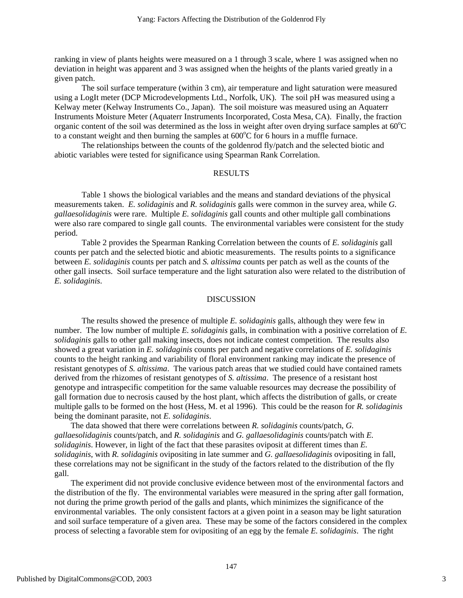ranking in view of plants heights were measured on a 1 through 3 scale, where 1 was assigned when no deviation in height was apparent and 3 was assigned when the heights of the plants varied greatly in a given patch.

The soil surface temperature (within 3 cm), air temperature and light saturation were measured using a LogIt meter (DCP Microdevelopments Ltd., Norfolk, UK). The soil pH was measured using a Kelway meter (Kelway Instruments Co., Japan). The soil moisture was measured using an Aquaterr Instruments Moisture Meter (Aquaterr Instruments Incorporated, Costa Mesa, CA). Finally, the fraction organic content of the soil was determined as the loss in weight after oven drying surface samples at  $60^{\circ}$ C to a constant weight and then burning the samples at  $600^{\circ}$ C for 6 hours in a muffle furnace.

The relationships between the counts of the goldenrod fly/patch and the selected biotic and abiotic variables were tested for significance using Spearman Rank Correlation.

# RESULTS

Table 1 shows the biological variables and the means and standard deviations of the physical measurements taken. *E. solidaginis* and *R. solidaginis* galls were common in the survey area, while *G. gallaesolidaginis* were rare. Multiple *E. solidaginis* gall counts and other multiple gall combinations were also rare compared to single gall counts. The environmental variables were consistent for the study period.

Table 2 provides the Spearman Ranking Correlation between the counts of *E. solidaginis* gall counts per patch and the selected biotic and abiotic measurements. The results points to a significance between *E. solidaginis* counts per patch and *S. altissima* counts per patch as well as the counts of the other gall insects. Soil surface temperature and the light saturation also were related to the distribution of *E. solidaginis*.

#### DISCUSSION

The results showed the presence of multiple *E. solidaginis* galls, although they were few in number. The low number of multiple *E. solidaginis* galls, in combination with a positive correlation of *E. solidaginis* galls to other gall making insects, does not indicate contest competition. The results also showed a great variation in *E. solidaginis* counts per patch and negative correlations of *E. solidaginis* counts to the height ranking and variability of floral environment ranking may indicate the presence of resistant genotypes of *S. altissima*. The various patch areas that we studied could have contained ramets derived from the rhizomes of resistant genotypes of *S. altissima*. The presence of a resistant host genotype and intraspecific competition for the same valuable resources may decrease the possibility of gall formation due to necrosis caused by the host plant, which affects the distribution of galls, or create multiple galls to be formed on the host (Hess, M. et al 1996). This could be the reason for *R. solidaginis* being the dominant parasite, not *E. solidaginis*.

The data showed that there were correlations between *R. solidaginis* counts/patch, *G. gallaesolidaginis* counts/patch, and *R. solidaginis* and *G. gallaesolidaginis* counts/patch with *E. solidaginis*. However, in light of the fact that these parasites oviposit at different times than *E. solidaginis*, with *R. solidaginis* ovipositing in late summer and *G. gallaesolidaginis* ovipositing in fall, these correlations may not be significant in the study of the factors related to the distribution of the fly gall.

The experiment did not provide conclusive evidence between most of the environmental factors and the distribution of the fly. The environmental variables were measured in the spring after gall formation, not during the prime growth period of the galls and plants, which minimizes the significance of the environmental variables. The only consistent factors at a given point in a season may be light saturation and soil surface temperature of a given area. These may be some of the factors considered in the complex process of selecting a favorable stem for ovipositing of an egg by the female *E. solidaginis*. The right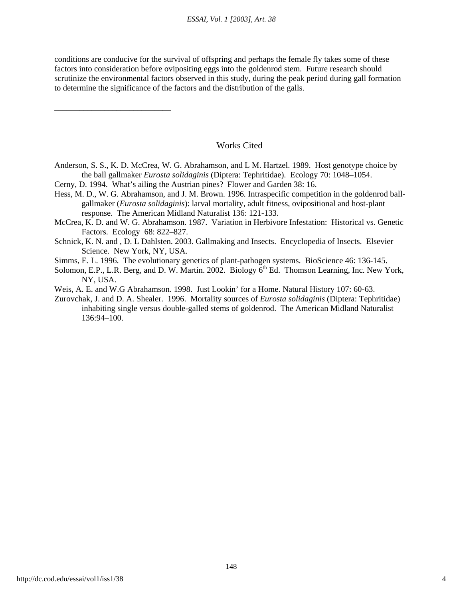conditions are conducive for the survival of offspring and perhaps the female fly takes some of these factors into consideration before ovipositing eggs into the goldenrod stem. Future research should scrutinize the environmental factors observed in this study, during the peak period during gall formation to determine the significance of the factors and the distribution of the galls.

# Works Cited

- Anderson, S. S., K. D. McCrea, W. G. Abrahamson, and L M. Hartzel. 1989. Host genotype choice by the ball gallmaker *Eurosta solidaginis* (Diptera: Tephritidae). Ecology 70: 1048–1054.
- Cerny, D. 1994. What's ailing the Austrian pines? Flower and Garden 38: 16.

\_\_\_\_\_\_\_\_\_\_\_\_\_\_\_\_\_\_\_\_\_\_\_\_\_\_\_\_

- Hess, M. D., W. G. Abrahamson, and J. M. Brown. 1996*.* Intraspecific competition in the goldenrod ball gallmaker (*Eurosta solidaginis*): larval mortality, adult fitness, ovipositional and host-plant response. The American Midland Naturalist 136: 121-133.
- McCrea, K. D. and W. G. Abrahamson. 1987. Variation in Herbivore Infestation: Historical vs. Genetic Factors. Ecology 68: 822–827.
- Schnick, K. N. and , D. L Dahlsten. 2003. Gallmaking and Insects. Encyclopedia of Insects. Elsevier Science. New York, NY, USA.
- Simms, E. L. 1996. The evolutionary genetics of plant-pathogen systems. BioScience 46: 136-145.
- Solomon, E.P., L.R. Berg, and D. W. Martin. 2002. Biology  $6<sup>th</sup>$  Ed. Thomson Learning, Inc. New York, NY, USA.
- Weis, A. E. and W.G Abrahamson. 1998. Just Lookin' for a Home. Natural History 107: 60-63.
- Zurovchak, J. and D. A. Shealer. 1996. Mortality sources of *Eurosta solidaginis* (Diptera: Tephritidae) inhabiting single versus double-galled stems of goldenrod. The American Midland Naturalist 136:94–100.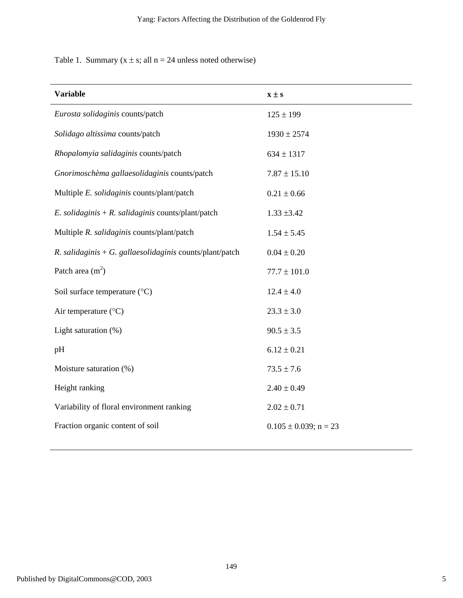Table 1. Summary  $(x \pm s;$  all  $n = 24$  unless noted otherwise)

| <b>Variable</b>                                          | $x \pm s$                  |
|----------------------------------------------------------|----------------------------|
| Eurosta solidaginis counts/patch                         | $125 \pm 199$              |
| Solidago altissima counts/patch                          | $1930 \pm 2574$            |
| Rhopalomyia salidaginis counts/patch                     | $634 \pm 1317$             |
| Gnorimoschèma gallaesolidaginis counts/patch             | $7.87 \pm 15.10$           |
| Multiple E. solidaginis counts/plant/patch               | $0.21 \pm 0.66$            |
| E. solidaginis + R. salidaginis counts/plant/patch       | $1.33 \pm 3.42$            |
| Multiple R. salidaginis counts/plant/patch               | $1.54 \pm 5.45$            |
| R. salidaginis + G. gallaesolidaginis counts/plant/patch | $0.04 \pm 0.20$            |
| Patch area $(m2)$                                        | $77.7 \pm 101.0$           |
| Soil surface temperature (°C)                            | $12.4 \pm 4.0$             |
| Air temperature (°C)                                     | $23.3 \pm 3.0$             |
| Light saturation (%)                                     | $90.5 \pm 3.5$             |
| pH                                                       | $6.12 \pm 0.21$            |
| Moisture saturation (%)                                  | $73.5 \pm 7.6$             |
| Height ranking                                           | $2.40 \pm 0.49$            |
| Variability of floral environment ranking                | $2.02 \pm 0.71$            |
| Fraction organic content of soil                         | $0.105 \pm 0.039$ ; n = 23 |